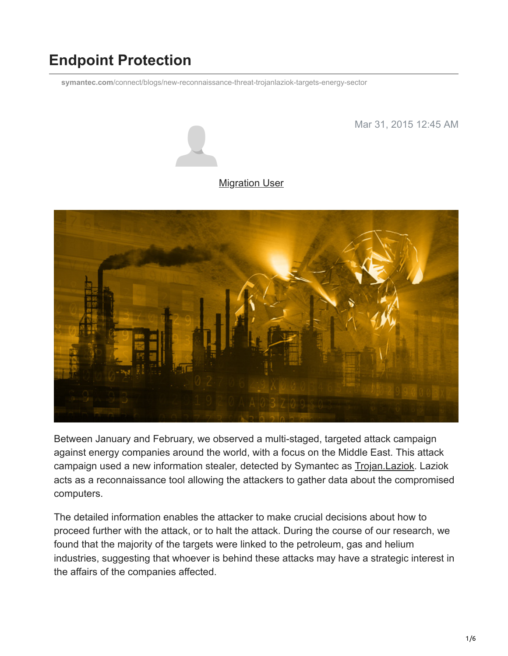# **Endpoint Protection**

**symantec.com**[/connect/blogs/new-reconnaissance-threat-trojanlaziok-targets-energy-sector](https://www.symantec.com/connect/blogs/new-reconnaissance-threat-trojanlaziok-targets-energy-sector)

Mar 31, 2015 12:45 AM



#### **[Migration User](https://community.broadcom.com/symantecenterprise/network/members/profile?UserKey=909a8e41-f1e7-45af-914a-628128e3819f)**



Between January and February, we observed a multi-staged, targeted attack campaign against energy companies around the world, with a focus on the Middle East. This attack campaign used a new information stealer, detected by Symantec as [Trojan.Laziok.](http://www.symantec.com/security_response/writeup.jsp?docid=2015-021115-3757-99) Laziok acts as a reconnaissance tool allowing the attackers to gather data about the compromised computers.

The detailed information enables the attacker to make crucial decisions about how to proceed further with the attack, or to halt the attack. During the course of our research, we found that the majority of the targets were linked to the petroleum, gas and helium industries, suggesting that whoever is behind these attacks may have a strategic interest in the affairs of the companies affected.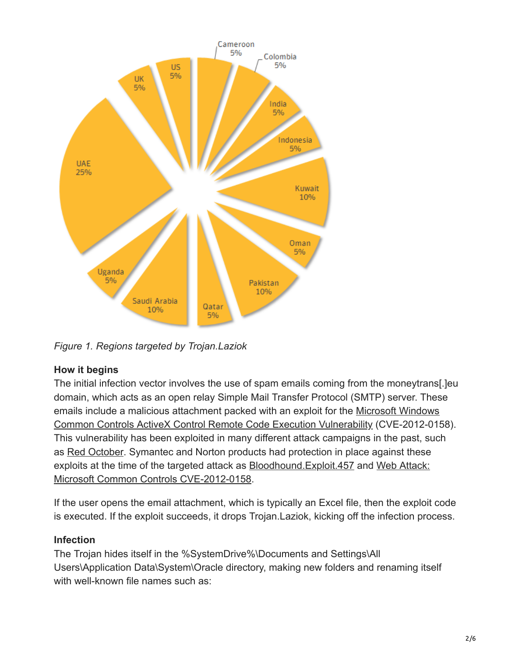

*Figure 1. Regions targeted by Trojan.Laziok*

# **How it begins**

The initial infection vector involves the use of spam emails coming from the moneytrans[.]eu domain, which acts as an open relay Simple Mail Transfer Protocol (SMTP) server. These [emails include a malicious attachment packed with an exploit for the Microsoft Windows](http://www.securityfocus.com/bid/52911) Common Controls ActiveX Control Remote Code Execution Vulnerability (CVE-2012-0158). This vulnerability has been exploited in many different attack campaigns in the past, such as [Red October](https://community.broadcom.com/symantecenterprise/viewdocument?DocumentKey=be39a836-d60e-40df-a975-4cdfa2a9a716&CommunityKey=1ecf5f55-9545-44d6-b0f4-4e4a7f5f5e68&tab=librarydocuments). Symantec and Norton products had protection in place against these [exploits at the time of the targeted attack as Bloodhound.Exploit.457 and Web Attack:](http://www.symantec.com/security_response/attacksignatures/detail.jsp?asid=25656) Microsoft Common Controls CVE-2012-0158.

If the user opens the email attachment, which is typically an Excel file, then the exploit code is executed. If the exploit succeeds, it drops Trojan.Laziok, kicking off the infection process.

# **Infection**

The Trojan hides itself in the %SystemDrive%\Documents and Settings\All Users\Application Data\System\Oracle directory, making new folders and renaming itself with well-known file names such as: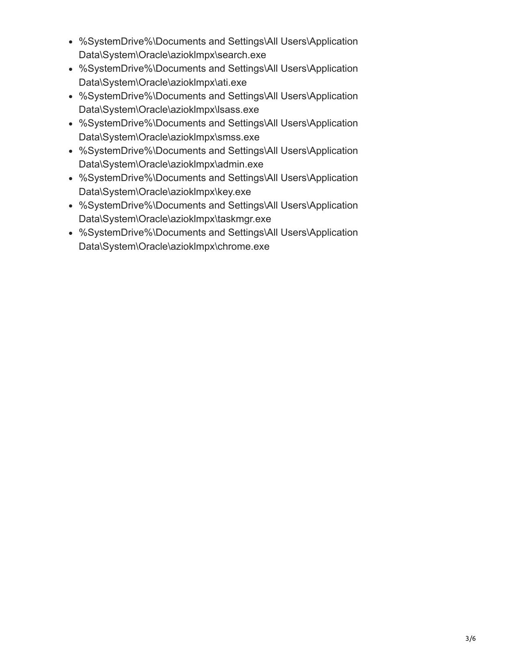- %SystemDrive%\Documents and Settings\All Users\Application Data\System\Oracle\azioklmpx\search.exe
- %SystemDrive%\Documents and Settings\All Users\Application Data\System\Oracle\azioklmpx\ati.exe
- %SystemDrive%\Documents and Settings\All Users\Application Data\System\Oracle\azioklmpx\lsass.exe
- %SystemDrive%\Documents and Settings\All Users\Application Data\System\Oracle\azioklmpx\smss.exe
- %SystemDrive%\Documents and Settings\All Users\Application Data\System\Oracle\azioklmpx\admin.exe
- %SystemDrive%\Documents and Settings\All Users\Application Data\System\Oracle\azioklmpx\key.exe
- %SystemDrive%\Documents and Settings\All Users\Application Data\System\Oracle\azioklmpx\taskmgr.exe
- %SystemDrive%\Documents and Settings\All Users\Application Data\System\Oracle\azioklmpx\chrome.exe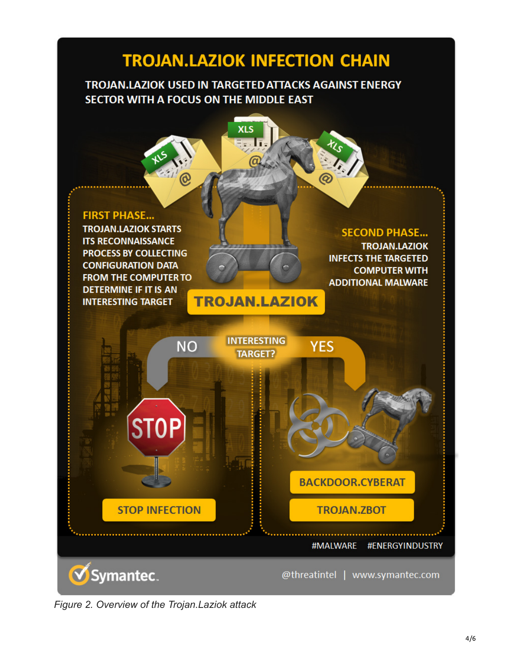# **TROJAN.LAZIOK INFECTION CHAIN**

# TROJAN.LAZIOK USED IN TARGETED ATTACKS AGAINST ENERGY SECTOR WITH A FOCUS ON THE MIDDLE EAST



*Figure 2. Overview of the Trojan.Laziok attack*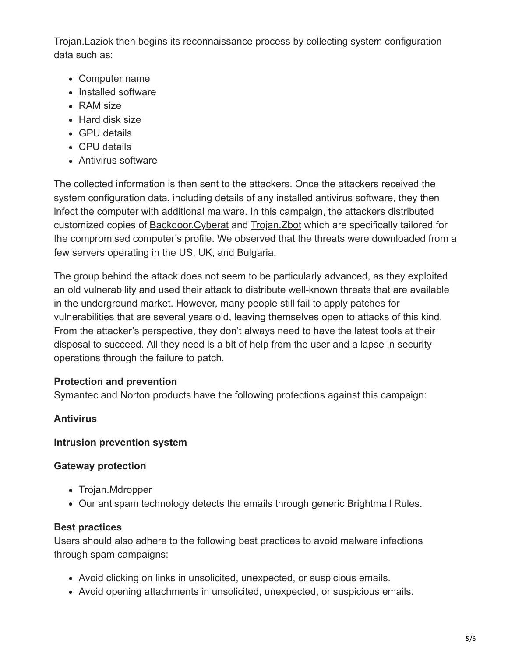Trojan.Laziok then begins its reconnaissance process by collecting system configuration data such as:

- Computer name
- Installed software
- RAM size
- Hard disk size
- GPU details
- CPU details
- Antivirus software

The collected information is then sent to the attackers. Once the attackers received the system configuration data, including details of any installed antivirus software, they then infect the computer with additional malware. In this campaign, the attackers distributed customized copies of **Backdoor.Cyberat** and **Trojan. Zbot** which are specifically tailored for the compromised computer's profile. We observed that the threats were downloaded from a few servers operating in the US, UK, and Bulgaria.

The group behind the attack does not seem to be particularly advanced, as they exploited an old vulnerability and used their attack to distribute well-known threats that are available in the underground market. However, many people still fail to apply patches for vulnerabilities that are several years old, leaving themselves open to attacks of this kind. From the attacker's perspective, they don't always need to have the latest tools at their disposal to succeed. All they need is a bit of help from the user and a lapse in security operations through the failure to patch.

# **Protection and prevention**

Symantec and Norton products have the following protections against this campaign:

# **Antivirus**

#### **Intrusion prevention system**

#### **Gateway protection**

- Trojan.Mdropper
- Our antispam technology detects the emails through generic Brightmail Rules.

#### **Best practices**

Users should also adhere to the following best practices to avoid malware infections through spam campaigns:

- Avoid clicking on links in unsolicited, unexpected, or suspicious emails.
- Avoid opening attachments in unsolicited, unexpected, or suspicious emails.